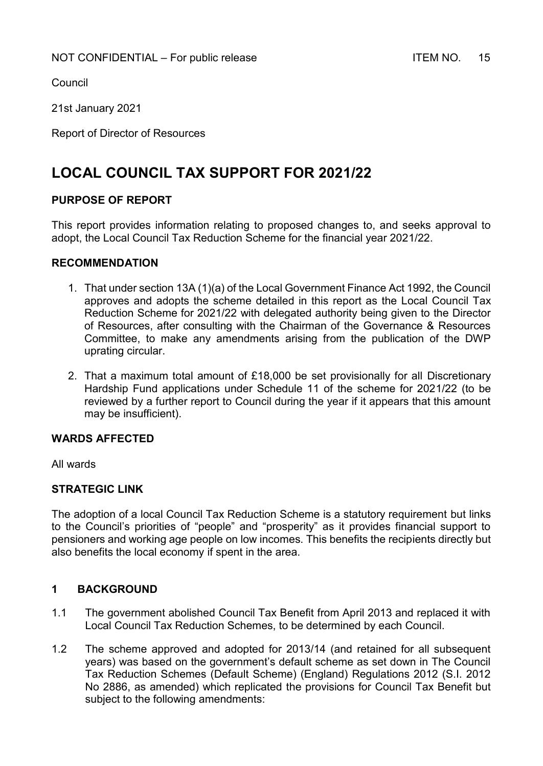Council

21st January 2021

Report of Director of Resources

# **LOCAL COUNCIL TAX SUPPORT FOR 2021/22**

## **PURPOSE OF REPORT**

This report provides information relating to proposed changes to, and seeks approval to adopt, the Local Council Tax Reduction Scheme for the financial year 2021/22.

#### **RECOMMENDATION**

- 1. That under section 13A (1)(a) of the Local Government Finance Act 1992, the Council approves and adopts the scheme detailed in this report as the Local Council Tax Reduction Scheme for 2021/22 with delegated authority being given to the Director of Resources, after consulting with the Chairman of the Governance & Resources Committee, to make any amendments arising from the publication of the DWP uprating circular.
- 2. That a maximum total amount of £18,000 be set provisionally for all Discretionary Hardship Fund applications under Schedule 11 of the scheme for 2021/22 (to be reviewed by a further report to Council during the year if it appears that this amount may be insufficient).

#### **WARDS AFFECTED**

All wards

#### **STRATEGIC LINK**

The adoption of a local Council Tax Reduction Scheme is a statutory requirement but links to the Council's priorities of "people" and "prosperity" as it provides financial support to pensioners and working age people on low incomes. This benefits the recipients directly but also benefits the local economy if spent in the area.

## **1 BACKGROUND**

- 1.1 The government abolished Council Tax Benefit from April 2013 and replaced it with Local Council Tax Reduction Schemes, to be determined by each Council.
- 1.2 The scheme approved and adopted for 2013/14 (and retained for all subsequent years) was based on the government's default scheme as set down in The Council Tax Reduction Schemes (Default Scheme) (England) Regulations 2012 (S.I. 2012 No 2886, as amended) which replicated the provisions for Council Tax Benefit but subject to the following amendments: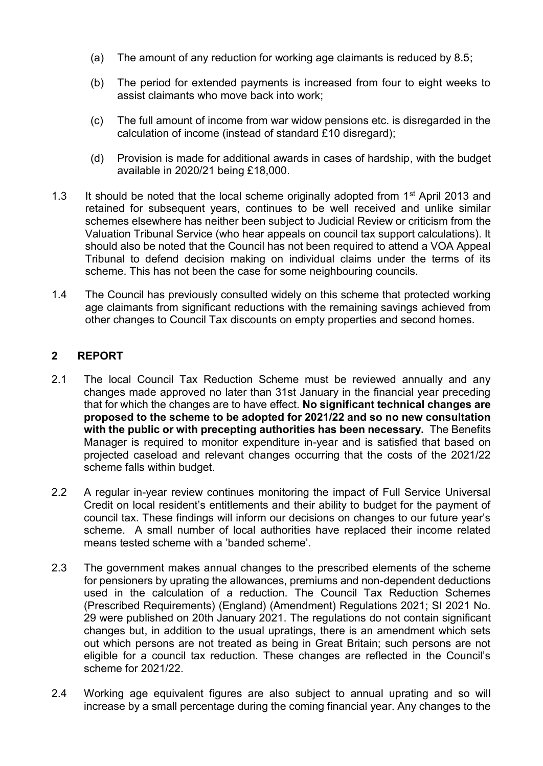- (a) The amount of any reduction for working age claimants is reduced by 8.5;
- (b) The period for extended payments is increased from four to eight weeks to assist claimants who move back into work;
- (c) The full amount of income from war widow pensions etc. is disregarded in the calculation of income (instead of standard £10 disregard);
- (d) Provision is made for additional awards in cases of hardship, with the budget available in 2020/21 being £18,000.
- 1.3 It should be noted that the local scheme originally adopted from 1<sup>st</sup> April 2013 and retained for subsequent years, continues to be well received and unlike similar schemes elsewhere has neither been subject to Judicial Review or criticism from the Valuation Tribunal Service (who hear appeals on council tax support calculations). It should also be noted that the Council has not been required to attend a VOA Appeal Tribunal to defend decision making on individual claims under the terms of its scheme. This has not been the case for some neighbouring councils.
- 1.4 The Council has previously consulted widely on this scheme that protected working age claimants from significant reductions with the remaining savings achieved from other changes to Council Tax discounts on empty properties and second homes.

# **2 REPORT**

- 2.1 The local Council Tax Reduction Scheme must be reviewed annually and any changes made approved no later than 31st January in the financial year preceding that for which the changes are to have effect. **No significant technical changes are proposed to the scheme to be adopted for 2021/22 and so no new consultation with the public or with precepting authorities has been necessary.** The Benefits Manager is required to monitor expenditure in-year and is satisfied that based on projected caseload and relevant changes occurring that the costs of the 2021/22 scheme falls within budget.
- 2.2 A regular in-year review continues monitoring the impact of Full Service Universal Credit on local resident's entitlements and their ability to budget for the payment of council tax. These findings will inform our decisions on changes to our future year's scheme. A small number of local authorities have replaced their income related means tested scheme with a 'banded scheme'.
- 2.3 The government makes annual changes to the prescribed elements of the scheme for pensioners by uprating the allowances, premiums and non-dependent deductions used in the calculation of a reduction. The Council Tax Reduction Schemes (Prescribed Requirements) (England) (Amendment) Regulations 2021; SI 2021 No. 29 were published on 20th January 2021. The regulations do not contain significant changes but, in addition to the usual upratings, there is an amendment which sets out which persons are not treated as being in Great Britain; such persons are not eligible for a council tax reduction. These changes are reflected in the Council's scheme for 2021/22.
- 2.4 Working age equivalent figures are also subject to annual uprating and so will increase by a small percentage during the coming financial year. Any changes to the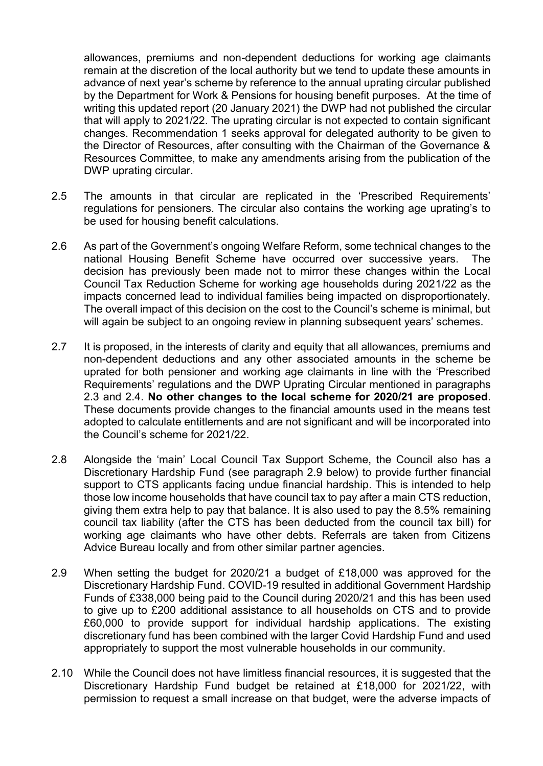allowances, premiums and non-dependent deductions for working age claimants remain at the discretion of the local authority but we tend to update these amounts in advance of next year's scheme by reference to the annual uprating circular published by the Department for Work & Pensions for housing benefit purposes. At the time of writing this updated report (20 January 2021) the DWP had not published the circular that will apply to 2021/22. The uprating circular is not expected to contain significant changes. Recommendation 1 seeks approval for delegated authority to be given to the Director of Resources, after consulting with the Chairman of the Governance & Resources Committee, to make any amendments arising from the publication of the DWP uprating circular.

- 2.5 The amounts in that circular are replicated in the 'Prescribed Requirements' regulations for pensioners. The circular also contains the working age uprating's to be used for housing benefit calculations.
- 2.6 As part of the Government's ongoing Welfare Reform, some technical changes to the national Housing Benefit Scheme have occurred over successive years. The decision has previously been made not to mirror these changes within the Local Council Tax Reduction Scheme for working age households during 2021/22 as the impacts concerned lead to individual families being impacted on disproportionately. The overall impact of this decision on the cost to the Council's scheme is minimal, but will again be subject to an ongoing review in planning subsequent years' schemes.
- 2.7 It is proposed, in the interests of clarity and equity that all allowances, premiums and non-dependent deductions and any other associated amounts in the scheme be uprated for both pensioner and working age claimants in line with the 'Prescribed Requirements' regulations and the DWP Uprating Circular mentioned in paragraphs 2.3 and 2.4. **No other changes to the local scheme for 2020/21 are proposed**. These documents provide changes to the financial amounts used in the means test adopted to calculate entitlements and are not significant and will be incorporated into the Council's scheme for 2021/22.
- 2.8 Alongside the 'main' Local Council Tax Support Scheme, the Council also has a Discretionary Hardship Fund (see paragraph 2.9 below) to provide further financial support to CTS applicants facing undue financial hardship. This is intended to help those low income households that have council tax to pay after a main CTS reduction, giving them extra help to pay that balance. It is also used to pay the 8.5% remaining council tax liability (after the CTS has been deducted from the council tax bill) for working age claimants who have other debts. Referrals are taken from Citizens Advice Bureau locally and from other similar partner agencies.
- 2.9 When setting the budget for 2020/21 a budget of £18,000 was approved for the Discretionary Hardship Fund. COVID-19 resulted in additional Government Hardship Funds of £338,000 being paid to the Council during 2020/21 and this has been used to give up to £200 additional assistance to all households on CTS and to provide £60,000 to provide support for individual hardship applications. The existing discretionary fund has been combined with the larger Covid Hardship Fund and used appropriately to support the most vulnerable households in our community.
- 2.10 While the Council does not have limitless financial resources, it is suggested that the Discretionary Hardship Fund budget be retained at £18,000 for 2021/22, with permission to request a small increase on that budget, were the adverse impacts of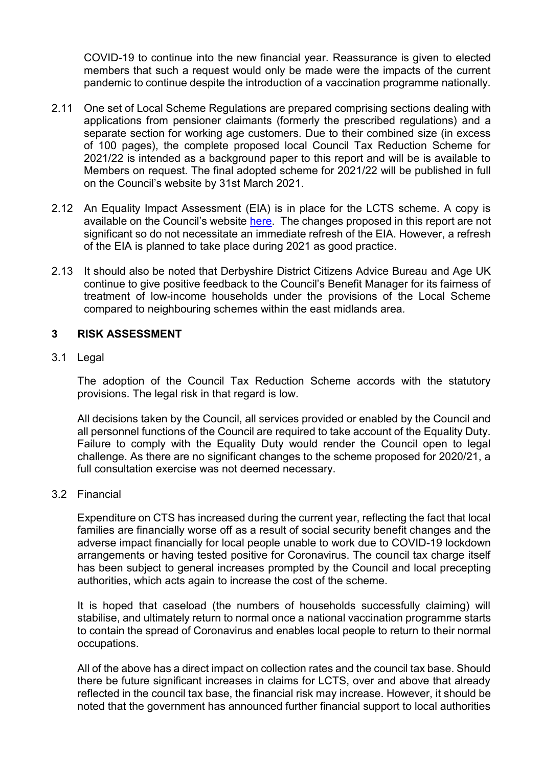COVID-19 to continue into the new financial year. Reassurance is given to elected members that such a request would only be made were the impacts of the current pandemic to continue despite the introduction of a vaccination programme nationally.

- 2.11 One set of Local Scheme Regulations are prepared comprising sections dealing with applications from pensioner claimants (formerly the prescribed regulations) and a separate section for working age customers. Due to their combined size (in excess of 100 pages), the complete proposed local Council Tax Reduction Scheme for 2021/22 is intended as a background paper to this report and will be is available to Members on request. The final adopted scheme for 2021/22 will be published in full on the Council's website by 31st March 2021.
- 2.12 An Equality Impact Assessment (EIA) is in place for the LCTS scheme. A copy is available on the Council's website [here.](https://www.derbyshiredales.gov.uk/images/documents/E/Equality_Impact_Assessment_-_Local_Council_Tax_Support_Scheme_-_Full.pdf) The changes proposed in this report are not significant so do not necessitate an immediate refresh of the EIA. However, a refresh of the EIA is planned to take place during 2021 as good practice.
- 2.13 It should also be noted that Derbyshire District Citizens Advice Bureau and Age UK continue to give positive feedback to the Council's Benefit Manager for its fairness of treatment of low-income households under the provisions of the Local Scheme compared to neighbouring schemes within the east midlands area*.*

## **3 RISK ASSESSMENT**

#### 3.1 Legal

The adoption of the Council Tax Reduction Scheme accords with the statutory provisions. The legal risk in that regard is low.

All decisions taken by the Council, all services provided or enabled by the Council and all personnel functions of the Council are required to take account of the Equality Duty. Failure to comply with the Equality Duty would render the Council open to legal challenge. As there are no significant changes to the scheme proposed for 2020/21, a full consultation exercise was not deemed necessary.

#### 3.2 Financial

Expenditure on CTS has increased during the current year, reflecting the fact that local families are financially worse off as a result of social security benefit changes and the adverse impact financially for local people unable to work due to COVID-19 lockdown arrangements or having tested positive for Coronavirus. The council tax charge itself has been subject to general increases prompted by the Council and local precepting authorities, which acts again to increase the cost of the scheme.

It is hoped that caseload (the numbers of households successfully claiming) will stabilise, and ultimately return to normal once a national vaccination programme starts to contain the spread of Coronavirus and enables local people to return to their normal occupations.

All of the above has a direct impact on collection rates and the council tax base. Should there be future significant increases in claims for LCTS, over and above that already reflected in the council tax base, the financial risk may increase. However, it should be noted that the government has announced further financial support to local authorities